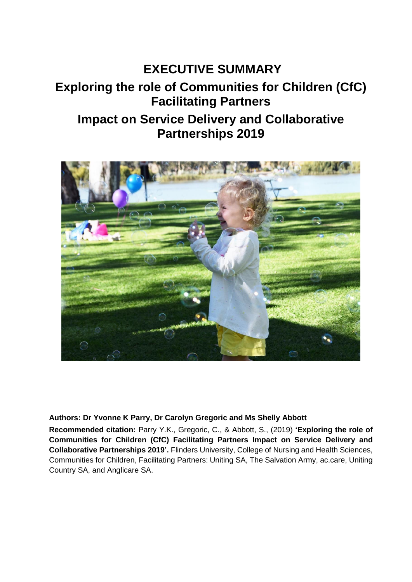# **EXECUTIVE SUMMARY Exploring the role of Communities for Children (CfC) Facilitating Partners Impact on Service Delivery and Collaborative Partnerships 2019**



#### **Authors: Dr Yvonne K Parry, Dr Carolyn Gregoric and Ms Shelly Abbott**

**Recommended citation:** Parry Y.K., Gregoric, C., & Abbott, S., (2019) **'Exploring the role of Communities for Children (CfC) Facilitating Partners Impact on Service Delivery and Collaborative Partnerships 2019'.** Flinders University, College of Nursing and Health Sciences, Communities for Children, Facilitating Partners: Uniting SA, The Salvation Army, ac.care, Uniting Country SA, and Anglicare SA.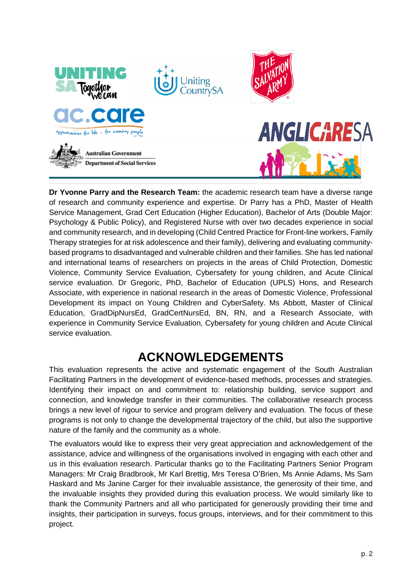

**Dr Yvonne Parry and the Research Team:** the academic research team have a diverse range of research and community experience and expertise. Dr Parry has a PhD, Master of Health Service Management, Grad Cert Education (Higher Education), Bachelor of Arts (Double Major: Psychology & Public Policy), and Registered Nurse with over two decades experience in social and community research, and in developing (Child Centred Practice for Front-line workers, Family Therapy strategies for at risk adolescence and their family), delivering and evaluating communitybased programs to disadvantaged and vulnerable children and their families. She has led national and international teams of researchers on projects in the areas of Child Protection, Domestic Violence, Community Service Evaluation, Cybersafety for young children, and Acute Clinical service evaluation. Dr Gregoric, PhD, Bachelor of Education (UPLS) Hons, and Research Associate, with experience in national research in the areas of Domestic Violence, Professional Development its impact on Young Children and CyberSafety. Ms Abbott, Master of Clinical Education, GradDipNursEd, GradCertNursEd, BN, RN, and a Research Associate, with experience in Community Service Evaluation, Cybersafety for young children and Acute Clinical service evaluation.

## **ACKNOWLEDGEMENTS**

<span id="page-1-0"></span>This evaluation represents the active and systematic engagement of the South Australian Facilitating Partners in the development of evidence-based methods, processes and strategies. Identifying their impact on and commitment to: relationship building, service support and connection, and knowledge transfer in their communities. The collaborative research process brings a new level of rigour to service and program delivery and evaluation. The focus of these programs is not only to change the developmental trajectory of the child, but also the supportive nature of the family and the community as a whole.

The evaluators would like to express their very great appreciation and acknowledgement of the assistance, advice and willingness of the organisations involved in engaging with each other and us in this evaluation research. Particular thanks go to the Facilitating Partners Senior Program Managers: Mr Craig Bradbrook, Mr Karl Brettig, Mrs Teresa O'Brien, Ms Annie Adams, Ms Sam Haskard and Ms Janine Carger for their invaluable assistance, the generosity of their time, and the invaluable insights they provided during this evaluation process. We would similarly like to thank the Community Partners and all who participated for generously providing their time and insights, their participation in surveys, focus groups, interviews, and for their commitment to this project.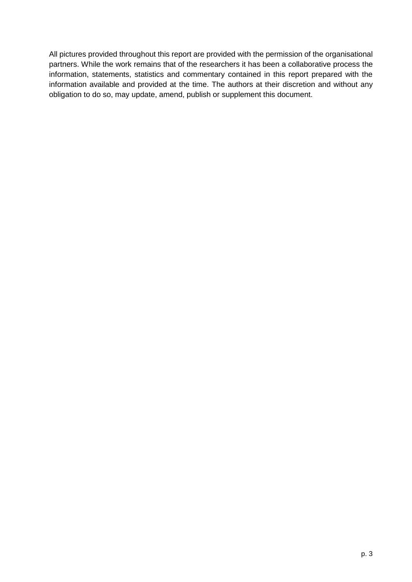All pictures provided throughout this report are provided with the permission of the organisational partners. While the work remains that of the researchers it has been a collaborative process the information, statements, statistics and commentary contained in this report prepared with the information available and provided at the time. The authors at their discretion and without any obligation to do so, may update, amend, publish or supplement this document.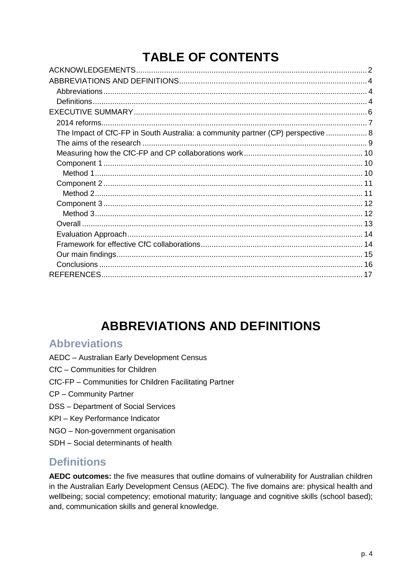# **TABLE OF CONTENTS**

| The Impact of CfC-FP in South Australia: a community partner (CP) perspective  8 |  |
|----------------------------------------------------------------------------------|--|
|                                                                                  |  |
|                                                                                  |  |
|                                                                                  |  |
|                                                                                  |  |
|                                                                                  |  |
|                                                                                  |  |
|                                                                                  |  |
|                                                                                  |  |
|                                                                                  |  |
|                                                                                  |  |
|                                                                                  |  |
|                                                                                  |  |
|                                                                                  |  |
|                                                                                  |  |
|                                                                                  |  |

# **ABBREVIATIONS AND DEFINITIONS**

#### <span id="page-3-1"></span><span id="page-3-0"></span>**Abbreviations**

- AEDC Australian Early Development Census
- CfC Communities for Children
- CfC-FP Communities for Children Facilitating Partner
- CP Community Partner
- DSS Department of Social Services
- KPI Key Performance Indicator
- NGO Non-government organisation
- SDH Social determinants of health

### <span id="page-3-2"></span>**Definitions**

**AEDC outcomes:** the five measures that outline domains of vulnerability for Australian children in the Australian Early Development Census (AEDC). The five domains are: physical health and wellbeing; social competency; emotional maturity; language and cognitive skills (school based); and, communication skills and general knowledge.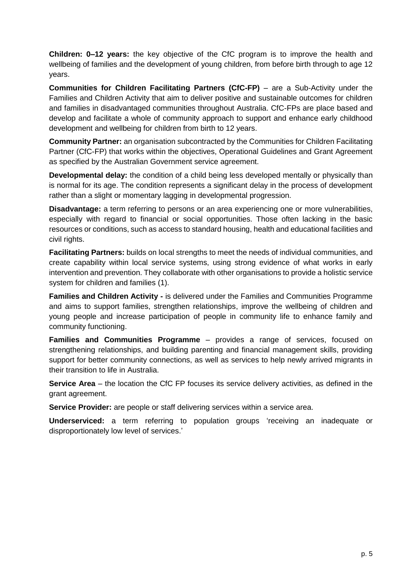**Children: 0–12 years:** the key objective of the CfC program is to improve the health and wellbeing of families and the development of young children, from before birth through to age 12 years.

**Communities for Children Facilitating Partners (CfC-FP)** – are a Sub-Activity under the Families and Children Activity that aim to deliver positive and sustainable outcomes for children and families in disadvantaged communities throughout Australia. CfC-FPs are place based and develop and facilitate a whole of community approach to support and enhance early childhood development and wellbeing for children from birth to 12 years.

**Community Partner:** an organisation subcontracted by the Communities for Children Facilitating Partner (CfC-FP) that works within the objectives, Operational Guidelines and Grant Agreement as specified by the Australian Government service agreement.

**Developmental delay:** the condition of a child being less developed mentally or physically than is normal for its age. The condition represents a significant delay in the process of development rather than a slight or momentary lagging in developmental progression.

**Disadvantage:** a term referring to persons or an area experiencing one or more vulnerabilities, especially with regard to financial or social opportunities. Those often lacking in the basic resources or conditions, such as access to standard housing, health and educational facilities and civil rights.

**Facilitating Partners:** builds on local strengths to meet the needs of individual communities, and create capability within local service systems, using strong evidence of what works in early intervention and prevention. They collaborate with other organisations to provide a holistic service system for children and families (1).

**Families and Children Activity -** is delivered under the Families and Communities Programme and aims to support families, strengthen relationships, improve the wellbeing of children and young people and increase participation of people in community life to enhance family and community functioning.

**Families and Communities Programme** – provides a range of services, focused on strengthening relationships, and building parenting and financial management skills, providing support for better community connections, as well as services to help newly arrived migrants in their transition to life in Australia.

**Service Area** – the location the CfC FP focuses its service delivery activities, as defined in the grant agreement.

**Service Provider:** are people or staff delivering services within a service area.

**Underserviced:** a term referring to population groups 'receiving an inadequate or disproportionately low level of services.'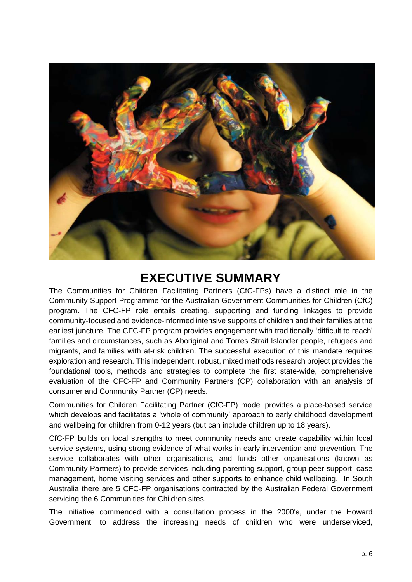

### **EXECUTIVE SUMMARY**

<span id="page-5-0"></span>The Communities for Children Facilitating Partners (CfC-FPs) have a distinct role in the Community Support Programme for the Australian Government Communities for Children (CfC) program. The CFC-FP role entails creating, supporting and funding linkages to provide community-focused and evidence-informed intensive supports of children and their families at the earliest juncture. The CFC-FP program provides engagement with traditionally 'difficult to reach' families and circumstances, such as Aboriginal and Torres Strait Islander people, refugees and migrants, and families with at-risk children. The successful execution of this mandate requires exploration and research. This independent, robust, mixed methods research project provides the foundational tools, methods and strategies to complete the first state-wide, comprehensive evaluation of the CFC-FP and Community Partners (CP) collaboration with an analysis of consumer and Community Partner (CP) needs.

Communities for Children Facilitating Partner (CfC-FP) model provides a place-based service which develops and facilitates a 'whole of community' approach to early childhood development and wellbeing for children from 0-12 years (but can include children up to 18 years).

CfC-FP builds on local strengths to meet community needs and create capability within local service systems, using strong evidence of what works in early intervention and prevention. The service collaborates with other organisations, and funds other organisations (known as Community Partners) to provide services including parenting support, group peer support, case management, home visiting services and other supports to enhance child wellbeing. In South Australia there are 5 CFC-FP organisations contracted by the Australian Federal Government servicing the 6 Communities for Children sites.

The initiative commenced with a consultation process in the 2000's, under the Howard Government, to address the increasing needs of children who were underserviced,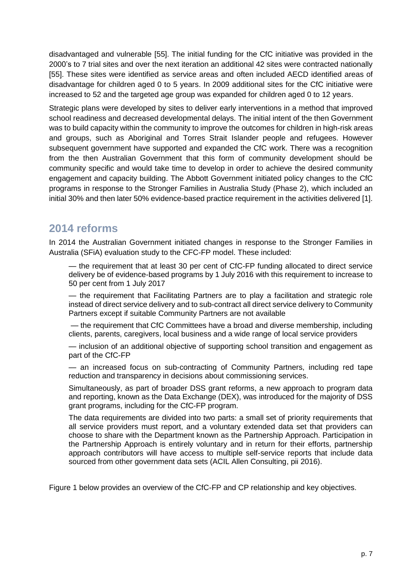disadvantaged and vulnerable [55]. The initial funding for the CfC initiative was provided in the 2000's to 7 trial sites and over the next iteration an additional 42 sites were contracted nationally [55]. These sites were identified as service areas and often included AECD identified areas of disadvantage for children aged 0 to 5 years. In 2009 additional sites for the CfC initiative were increased to 52 and the targeted age group was expanded for children aged 0 to 12 years.

Strategic plans were developed by sites to deliver early interventions in a method that improved school readiness and decreased developmental delays. The initial intent of the then Government was to build capacity within the community to improve the outcomes for children in high-risk areas and groups, such as Aboriginal and Torres Strait Islander people and refugees. However subsequent government have supported and expanded the CfC work. There was a recognition from the then Australian Government that this form of community development should be community specific and would take time to develop in order to achieve the desired community engagement and capacity building. The Abbott Government initiated policy changes to the CfC programs in response to the Stronger Families in Australia Study (Phase 2), which included an initial 30% and then later 50% evidence-based practice requirement in the activities delivered [1].

#### <span id="page-6-0"></span>**2014 reforms**

In 2014 the Australian Government initiated changes in response to the Stronger Families in Australia (SFiA) evaluation study to the CFC-FP model. These included:

— the requirement that at least 30 per cent of CfC-FP funding allocated to direct service delivery be of evidence-based programs by 1 July 2016 with this requirement to increase to 50 per cent from 1 July 2017

— the requirement that Facilitating Partners are to play a facilitation and strategic role instead of direct service delivery and to sub-contract all direct service delivery to Community Partners except if suitable Community Partners are not available

— the requirement that CfC Committees have a broad and diverse membership, including clients, parents, caregivers, local business and a wide range of local service providers

— inclusion of an additional objective of supporting school transition and engagement as part of the CfC-FP

— an increased focus on sub-contracting of Community Partners, including red tape reduction and transparency in decisions about commissioning services.

Simultaneously, as part of broader DSS grant reforms, a new approach to program data and reporting, known as the Data Exchange (DEX), was introduced for the majority of DSS grant programs, including for the CfC-FP program.

The data requirements are divided into two parts: a small set of priority requirements that all service providers must report, and a voluntary extended data set that providers can choose to share with the Department known as the Partnership Approach. Participation in the Partnership Approach is entirely voluntary and in return for their efforts, partnership approach contributors will have access to multiple self-service reports that include data sourced from other government data sets (ACIL Allen Consulting, pii 2016).

Figure 1 below provides an overview of the CfC-FP and CP relationship and key objectives.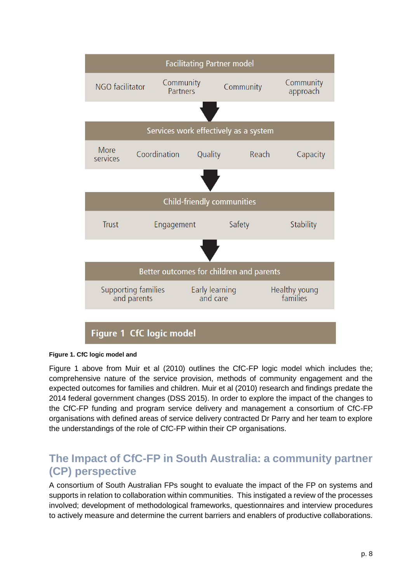

#### **Figure 1. CfC logic model and**

Figure 1 above from Muir et al (2010) outlines the CfC-FP logic model which includes the; comprehensive nature of the service provision, methods of community engagement and the expected outcomes for families and children. Muir et al (2010) research and findings predate the 2014 federal government changes (DSS 2015). In order to explore the impact of the changes to the CfC-FP funding and program service delivery and management a consortium of CfC-FP organisations with defined areas of service delivery contracted Dr Parry and her team to explore the understandings of the role of CfC-FP within their CP organisations.

### <span id="page-7-0"></span>**The Impact of CfC-FP in South Australia: a community partner (CP) perspective**

A consortium of South Australian FPs sought to evaluate the impact of the FP on systems and supports in relation to collaboration within communities. This instigated a review of the processes involved; development of methodological frameworks, questionnaires and interview procedures to actively measure and determine the current barriers and enablers of productive collaborations.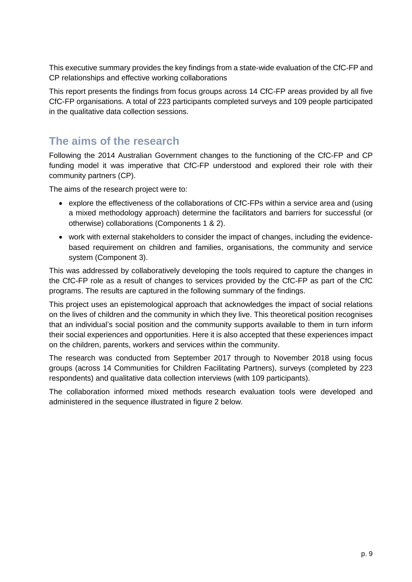This executive summary provides the key findings from a state-wide evaluation of the CfC-FP and CP relationships and effective working collaborations

This report presents the findings from focus groups across 14 CfC-FP areas provided by all five CfC-FP organisations. A total of 223 participants completed surveys and 109 people participated in the qualitative data collection sessions.

### <span id="page-8-0"></span>**The aims of the research**

Following the 2014 Australian Government changes to the functioning of the CfC-FP and CP funding model it was imperative that CfC-FP understood and explored their role with their community partners (CP).

The aims of the research project were to:

- explore the effectiveness of the collaborations of CfC-FPs within a service area and (using a mixed methodology approach) determine the facilitators and barriers for successful (or otherwise) collaborations (Components 1 & 2).
- work with external stakeholders to consider the impact of changes, including the evidencebased requirement on children and families, organisations, the community and service system (Component 3).

This was addressed by collaboratively developing the tools required to capture the changes in the CfC-FP role as a result of changes to services provided by the CfC-FP as part of the CfC programs. The results are captured in the following summary of the findings.

This project uses an epistemological approach that acknowledges the impact of social relations on the lives of children and the community in which they live. This theoretical position recognises that an individual's social position and the community supports available to them in turn inform their social experiences and opportunities. Here it is also accepted that these experiences impact on the children, parents, workers and services within the community.

The research was conducted from September 2017 through to November 2018 using focus groups (across 14 Communities for Children Facilitating Partners), surveys (completed by 223 respondents) and qualitative data collection interviews (with 109 participants).

The collaboration informed mixed methods research evaluation tools were developed and administered in the sequence illustrated in figure 2 below.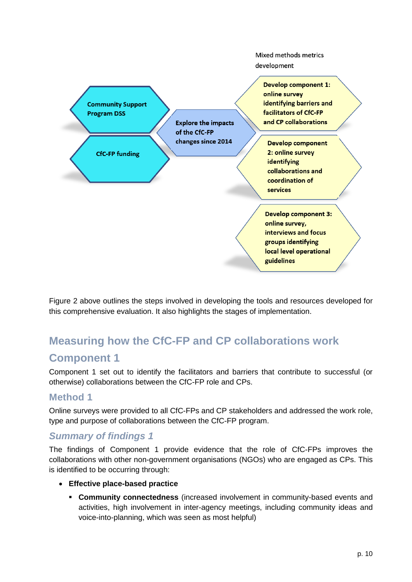

Figure 2 above outlines the steps involved in developing the tools and resources developed for this comprehensive evaluation. It also highlights the stages of implementation.

# <span id="page-9-0"></span>**Measuring how the CfC-FP and CP collaborations work Component 1**

<span id="page-9-1"></span>Component 1 set out to identify the facilitators and barriers that contribute to successful (or otherwise) collaborations between the CfC-FP role and CPs.

#### <span id="page-9-2"></span>**Method 1**

Online surveys were provided to all CfC-FPs and CP stakeholders and addressed the work role, type and purpose of collaborations between the CfC-FP program.

#### *Summary of findings 1*

The findings of Component 1 provide evidence that the role of CfC-FPs improves the collaborations with other non-government organisations (NGOs) who are engaged as CPs. This is identified to be occurring through:

- **Effective place-based practice**
	- **Community connectedness** (increased involvement in community-based events and activities, high involvement in inter-agency meetings, including community ideas and voice-into-planning, which was seen as most helpful)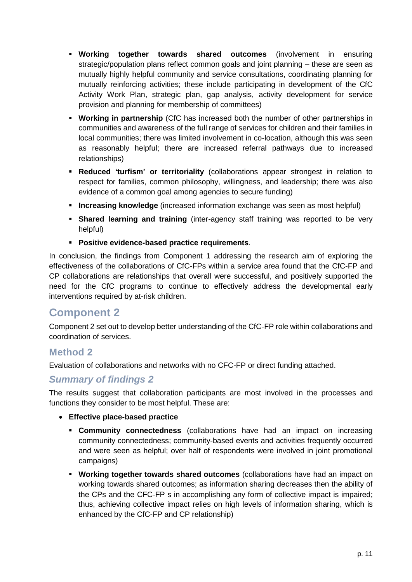- **Working together towards shared outcomes** (involvement in ensuring strategic/population plans reflect common goals and joint planning – these are seen as mutually highly helpful community and service consultations, coordinating planning for mutually reinforcing activities; these include participating in development of the CfC Activity Work Plan, strategic plan, gap analysis, activity development for service provision and planning for membership of committees)
- **Working in partnership** (CfC has increased both the number of other partnerships in communities and awareness of the full range of services for children and their families in local communities; there was limited involvement in co-location, although this was seen as reasonably helpful; there are increased referral pathways due to increased relationships)
- **Reduced 'turfism' or territoriality** (collaborations appear strongest in relation to respect for families, common philosophy, willingness, and leadership; there was also evidence of a common goal among agencies to secure funding)
- **Increasing knowledge** (increased information exchange was seen as most helpful)
- **EXED Shared learning and training** (inter-agency staff training was reported to be very helpful)
- **Positive evidence-based practice requirements**.

In conclusion, the findings from Component 1 addressing the research aim of exploring the effectiveness of the collaborations of CfC-FPs within a service area found that the CfC-FP and CP collaborations are relationships that overall were successful, and positively supported the need for the CfC programs to continue to effectively address the developmental early interventions required by at-risk children.

#### <span id="page-10-0"></span>**Component 2**

Component 2 set out to develop better understanding of the CfC-FP role within collaborations and coordination of services.

#### <span id="page-10-1"></span>**Method 2**

Evaluation of collaborations and networks with no CFC-FP or direct funding attached.

#### *Summary of findings 2*

The results suggest that collaboration participants are most involved in the processes and functions they consider to be most helpful. These are:

- **Effective place-based practice**
	- **Community connectedness** (collaborations have had an impact on increasing community connectedness; community-based events and activities frequently occurred and were seen as helpful; over half of respondents were involved in joint promotional campaigns)
	- **Working together towards shared outcomes** (collaborations have had an impact on working towards shared outcomes; as information sharing decreases then the ability of the CPs and the CFC-FP s in accomplishing any form of collective impact is impaired; thus, achieving collective impact relies on high levels of information sharing, which is enhanced by the CfC-FP and CP relationship)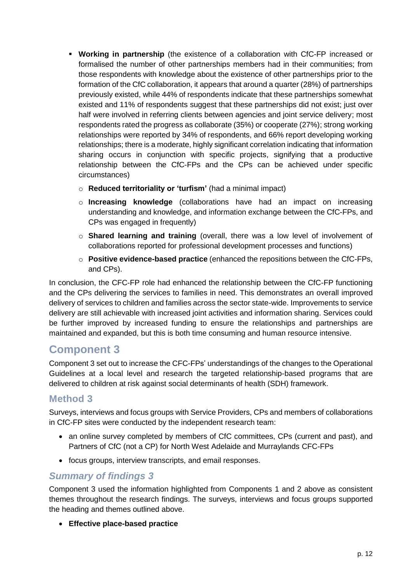- **Working in partnership** (the existence of a collaboration with CfC-FP increased or formalised the number of other partnerships members had in their communities; from those respondents with knowledge about the existence of other partnerships prior to the formation of the CfC collaboration, it appears that around a quarter (28%) of partnerships previously existed, while 44% of respondents indicate that these partnerships somewhat existed and 11% of respondents suggest that these partnerships did not exist; just over half were involved in referring clients between agencies and joint service delivery; most respondents rated the progress as collaborate (35%) or cooperate (27%); strong working relationships were reported by 34% of respondents, and 66% report developing working relationships; there is a moderate, highly significant correlation indicating that information sharing occurs in conjunction with specific projects, signifying that a productive relationship between the CfC-FPs and the CPs can be achieved under specific circumstances)
	- o **Reduced territoriality or 'turfism'** (had a minimal impact)
	- o **Increasing knowledge** (collaborations have had an impact on increasing understanding and knowledge, and information exchange between the CfC-FPs, and CPs was engaged in frequently)
	- o **Shared learning and training** (overall, there was a low level of involvement of collaborations reported for professional development processes and functions)
	- o **Positive evidence-based practice** (enhanced the repositions between the CfC-FPs, and CPs).

In conclusion, the CFC-FP role had enhanced the relationship between the CfC-FP functioning and the CPs delivering the services to families in need. This demonstrates an overall improved delivery of services to children and families across the sector state-wide. Improvements to service delivery are still achievable with increased joint activities and information sharing. Services could be further improved by increased funding to ensure the relationships and partnerships are maintained and expanded, but this is both time consuming and human resource intensive.

### <span id="page-11-0"></span>**Component 3**

Component 3 set out to increase the CFC-FPs' understandings of the changes to the Operational Guidelines at a local level and research the targeted relationship-based programs that are delivered to children at risk against social determinants of health (SDH) framework.

#### <span id="page-11-1"></span>**Method 3**

Surveys, interviews and focus groups with Service Providers, CPs and members of collaborations in CfC-FP sites were conducted by the independent research team:

- an online survey completed by members of CfC committees, CPs (current and past), and Partners of CfC (not a CP) for North West Adelaide and Murraylands CFC-FPs
- focus groups, interview transcripts, and email responses.

#### *Summary of findings 3*

Component 3 used the information highlighted from Components 1 and 2 above as consistent themes throughout the research findings. The surveys, interviews and focus groups supported the heading and themes outlined above.

• **Effective place-based practice**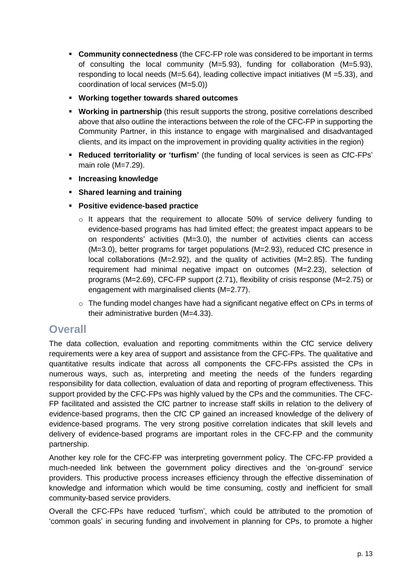- **EXECOMMUNITY CONNECTEDNESS** (the CFC-FP role was considered to be important in terms of consulting the local community (M=5.93), funding for collaboration (M=5.93), responding to local needs (M=5.64), leading collective impact initiatives (M =5.33), and coordination of local services (M=5.0))
- **Working together towards shared outcomes**
- **EXP** Working in partnership (this result supports the strong, positive correlations described above that also outline the interactions between the role of the CFC-FP in supporting the Community Partner, in this instance to engage with marginalised and disadvantaged clients, and its impact on the improvement in providing quality activities in the region)
- **Reduced territoriality or 'turfism'** (the funding of local services is seen as CfC-FPs' main role (M=7.29).
- **Increasing knowledge**
- **Shared learning and training**
- **Positive evidence-based practice**
	- $\circ$  It appears that the requirement to allocate 50% of service delivery funding to evidence-based programs has had limited effect; the greatest impact appears to be on respondents' activities (M=3.0), the number of activities clients can access (M=3.0), better programs for target populations (M=2.93), reduced CfC presence in local collaborations (M=2.92), and the quality of activities (M=2.85). The funding requirement had minimal negative impact on outcomes (M=2.23), selection of programs (M=2.69), CFC-FP support (2.71), flexibility of crisis response (M=2.75) or engagement with marginalised clients (M=2.77).
	- o The funding model changes have had a significant negative effect on CPs in terms of their administrative burden (M=4.33).

#### <span id="page-12-0"></span>**Overall**

The data collection, evaluation and reporting commitments within the CfC service delivery requirements were a key area of support and assistance from the CFC-FPs. The qualitative and quantitative results indicate that across all components the CFC-FPs assisted the CPs in numerous ways, such as, interpreting and meeting the needs of the funders regarding responsibility for data collection, evaluation of data and reporting of program effectiveness. This support provided by the CFC-FPs was highly valued by the CPs and the communities. The CFC-FP facilitated and assisted the CfC partner to increase staff skills in relation to the delivery of evidence-based programs, then the CfC CP gained an increased knowledge of the delivery of evidence-based programs. The very strong positive correlation indicates that skill levels and delivery of evidence-based programs are important roles in the CFC-FP and the community partnership.

Another key role for the CFC-FP was interpreting government policy. The CFC-FP provided a much-needed link between the government policy directives and the 'on-ground' service providers. This productive process increases efficiency through the effective dissemination of knowledge and information which would be time consuming, costly and inefficient for small community-based service providers.

Overall the CFC-FPs have reduced 'turfism', which could be attributed to the promotion of 'common goals' in securing funding and involvement in planning for CPs, to promote a higher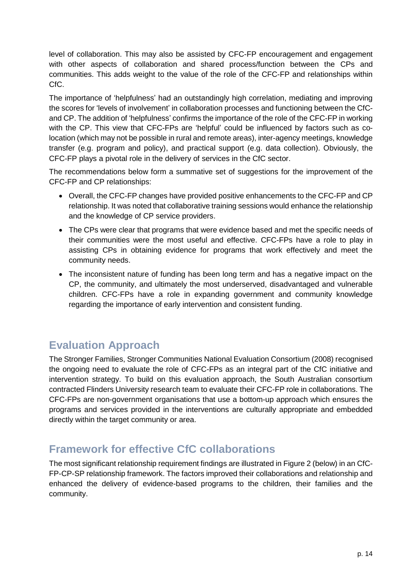level of collaboration. This may also be assisted by CFC-FP encouragement and engagement with other aspects of collaboration and shared process/function between the CPs and communities. This adds weight to the value of the role of the CFC-FP and relationships within CfC.

The importance of 'helpfulness' had an outstandingly high correlation, mediating and improving the scores for 'levels of involvement' in collaboration processes and functioning between the CfCand CP. The addition of 'helpfulness' confirms the importance of the role of the CFC-FP in working with the CP. This view that CFC-FPs are 'helpful' could be influenced by factors such as colocation (which may not be possible in rural and remote areas), inter-agency meetings, knowledge transfer (e.g. program and policy), and practical support (e.g. data collection). Obviously, the CFC-FP plays a pivotal role in the delivery of services in the CfC sector.

The recommendations below form a summative set of suggestions for the improvement of the CFC-FP and CP relationships:

- Overall, the CFC-FP changes have provided positive enhancements to the CFC-FP and CP relationship. It was noted that collaborative training sessions would enhance the relationship and the knowledge of CP service providers.
- The CPs were clear that programs that were evidence based and met the specific needs of their communities were the most useful and effective. CFC-FPs have a role to play in assisting CPs in obtaining evidence for programs that work effectively and meet the community needs.
- The inconsistent nature of funding has been long term and has a negative impact on the CP, the community, and ultimately the most underserved, disadvantaged and vulnerable children. CFC-FPs have a role in expanding government and community knowledge regarding the importance of early intervention and consistent funding.

### <span id="page-13-0"></span>**Evaluation Approach**

The Stronger Families, Stronger Communities National Evaluation Consortium (2008) recognised the ongoing need to evaluate the role of CFC-FPs as an integral part of the CfC initiative and intervention strategy. To build on this evaluation approach, the South Australian consortium contracted Flinders University research team to evaluate their CFC-FP role in collaborations. The CFC-FPs are non-government organisations that use a bottom-up approach which ensures the programs and services provided in the interventions are culturally appropriate and embedded directly within the target community or area.

### <span id="page-13-1"></span>**Framework for effective CfC collaborations**

The most significant relationship requirement findings are illustrated in Figure 2 (below) in an CfC-FP-CP-SP relationship framework. The factors improved their collaborations and relationship and enhanced the delivery of evidence-based programs to the children, their families and the community.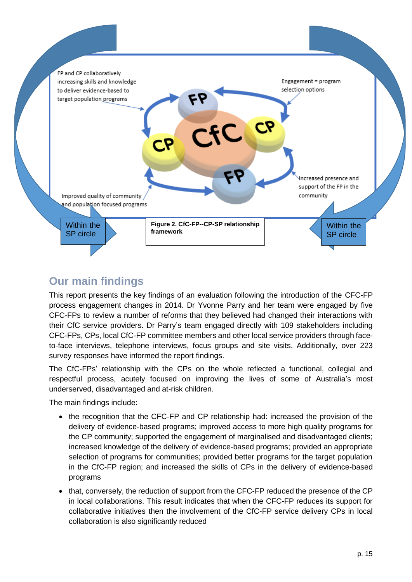

### <span id="page-14-0"></span>**Our main findings**

This report presents the key findings of an evaluation following the introduction of the CFC-FP process engagement changes in 2014. Dr Yvonne Parry and her team were engaged by five CFC-FPs to review a number of reforms that they believed had changed their interactions with their CfC service providers. Dr Parry's team engaged directly with 109 stakeholders including CFC-FPs, CPs, local CfC-FP committee members and other local service providers through faceto-face interviews, telephone interviews, focus groups and site visits. Additionally, over 223 survey responses have informed the report findings.

The CfC-FPs' relationship with the CPs on the whole reflected a functional, collegial and respectful process, acutely focused on improving the lives of some of Australia's most underserved, disadvantaged and at-risk children.

The main findings include:

- the recognition that the CFC-FP and CP relationship had: increased the provision of the delivery of evidence-based programs; improved access to more high quality programs for the CP community; supported the engagement of marginalised and disadvantaged clients; increased knowledge of the delivery of evidence-based programs; provided an appropriate selection of programs for communities; provided better programs for the target population in the CfC-FP region; and increased the skills of CPs in the delivery of evidence-based programs
- that, conversely, the reduction of support from the CFC-FP reduced the presence of the CP in local collaborations. This result indicates that when the CFC-FP reduces its support for collaborative initiatives then the involvement of the CfC-FP service delivery CPs in local collaboration is also significantly reduced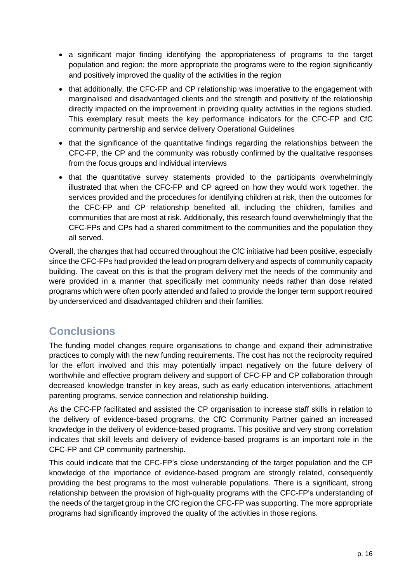- a significant major finding identifying the appropriateness of programs to the target population and region; the more appropriate the programs were to the region significantly and positively improved the quality of the activities in the region
- that additionally, the CFC-FP and CP relationship was imperative to the engagement with marginalised and disadvantaged clients and the strength and positivity of the relationship directly impacted on the improvement in providing quality activities in the regions studied. This exemplary result meets the key performance indicators for the CFC-FP and CfC community partnership and service delivery Operational Guidelines
- that the significance of the quantitative findings regarding the relationships between the CFC-FP, the CP and the community was robustly confirmed by the qualitative responses from the focus groups and individual interviews
- that the quantitative survey statements provided to the participants overwhelmingly illustrated that when the CFC-FP and CP agreed on how they would work together, the services provided and the procedures for identifying children at risk, then the outcomes for the CFC-FP and CP relationship benefited all, including the children, families and communities that are most at risk. Additionally, this research found overwhelmingly that the CFC-FPs and CPs had a shared commitment to the communities and the population they all served.

Overall, the changes that had occurred throughout the CfC initiative had been positive, especially since the CFC-FPs had provided the lead on program delivery and aspects of community capacity building. The caveat on this is that the program delivery met the needs of the community and were provided in a manner that specifically met community needs rather than dose related programs which were often poorly attended and failed to provide the longer term support required by underserviced and disadvantaged children and their families.

### <span id="page-15-0"></span>**Conclusions**

The funding model changes require organisations to change and expand their administrative practices to comply with the new funding requirements. The cost has not the reciprocity required for the effort involved and this may potentially impact negatively on the future delivery of worthwhile and effective program delivery and support of CFC-FP and CP collaboration through decreased knowledge transfer in key areas, such as early education interventions, attachment parenting programs, service connection and relationship building.

As the CFC-FP facilitated and assisted the CP organisation to increase staff skills in relation to the delivery of evidence-based programs, the CfC Community Partner gained an increased knowledge in the delivery of evidence-based programs. This positive and very strong correlation indicates that skill levels and delivery of evidence-based programs is an important role in the CFC-FP and CP community partnership.

This could indicate that the CFC-FP's close understanding of the target population and the CP knowledge of the importance of evidence-based program are strongly related, consequently providing the best programs to the most vulnerable populations. There is a significant, strong relationship between the provision of high-quality programs with the CFC-FP's understanding of the needs of the target group in the CfC region the CFC-FP was supporting. The more appropriate programs had significantly improved the quality of the activities in those regions.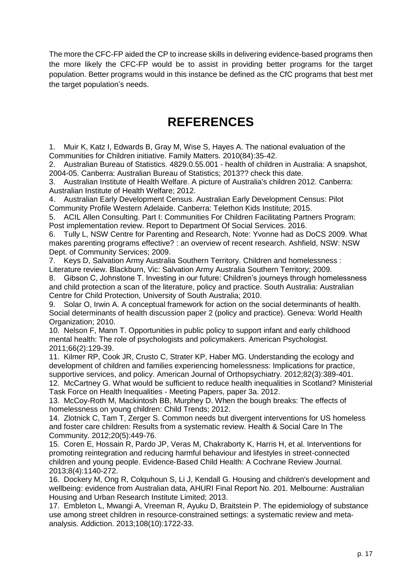The more the CFC-FP aided the CP to increase skills in delivering evidence-based programs then the more likely the CFC-FP would be to assist in providing better programs for the target population. Better programs would in this instance be defined as the CfC programs that best met the target population's needs.

## **REFERENCES**

<span id="page-16-0"></span>1. Muir K, Katz I, Edwards B, Gray M, Wise S, Hayes A. The national evaluation of the Communities for Children initiative. Family Matters. 2010(84):35-42.

2. Australian Bureau of Statistics. 4829.0.55.001 - health of children in Australia: A snapshot, 2004-05. Canberra: Australian Bureau of Statistics; 2013?? check this date.

3. Australian Institute of Health Welfare. A picture of Australia's children 2012. Canberra: Australian Institute of Health Welfare; 2012.

4. Australian Early Development Census. Australian Early Development Census: Pilot Community Profile Western Adelaide. Canberra: Telethon Kids Institute; 2015.

5. ACIL Allen Consulting. Part I: Communities For Children Facilitating Partners Program: Post implementation review. Report to Department Of Social Services. 2016.

6. Tully L, NSW Centre for Parenting and Research, Note: Yvonne had as DoCS 2009. What makes parenting programs effective? : an overview of recent research. Ashfield, NSW: NSW Dept. of Community Services; 2009.

7. Keys D, Salvation Army Australia Southern Territory. Children and homelessness : Literature review. Blackburn, Vic: Salvation Army Australia Southern Territory; 2009.

8. Gibson C, Johnstone T. Investing in our future: Children's journeys through homelessness and child protection a scan of the literature, policy and practice. South Australia: Australian Centre for Child Protection, University of South Australia; 2010.

9. Solar O, Irwin A. A conceptual framework for action on the social determinants of health. Social determinants of health discussion paper 2 (policy and practice). Geneva: World Health Organization; 2010.

10. Nelson F, Mann T. Opportunities in public policy to support infant and early childhood mental health: The role of psychologists and policymakers. American Psychologist. 2011;66(2):129-39.

11. Kilmer RP, Cook JR, Crusto C, Strater KP, Haber MG. Understanding the ecology and development of children and families experiencing homelessness: Implications for practice, supportive services, and policy. American Journal of Orthopsychiatry. 2012;82(3):389-401.

12. McCartney G. What would be sufficient to reduce health inequalities in Scotland? Ministerial Task Force on Health Inequalities - Meeting Papers, paper 3a. 2012.

13. McCoy-Roth M, Mackintosh BB, Murphey D. When the bough breaks: The effects of homelessness on young children: Child Trends; 2012.

14. Zlotnick C, Tam T, Zerger S. Common needs but divergent interventions for US homeless and foster care children: Results from a systematic review. Health & Social Care In The Community. 2012;20(5):449-76.

15. Coren E, Hossain R, Pardo JP, Veras M, Chakraborty K, Harris H, et al. Interventions for promoting reintegration and reducing harmful behaviour and lifestyles in street‐connected children and young people. Evidence‐Based Child Health: A Cochrane Review Journal. 2013;8(4):1140-272.

16. Dockery M, Ong R, Colquhoun S, Li J, Kendall G. Housing and children's development and wellbeing: evidence from Australian data, AHURI Final Report No. 201. Melbourne: Australian Housing and Urban Research Institute Limited; 2013.

17. Embleton L, Mwangi A, Vreeman R, Ayuku D, Braitstein P. The epidemiology of substance use among street children in resource‐constrained settings: a systematic review and meta‐ analysis. Addiction. 2013;108(10):1722-33.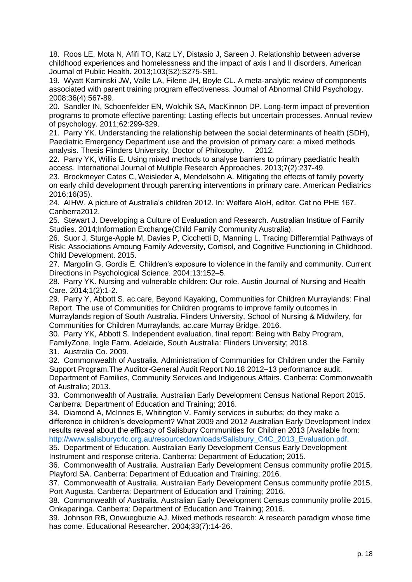18. Roos LE, Mota N, Afifi TO, Katz LY, Distasio J, Sareen J. Relationship between adverse childhood experiences and homelessness and the impact of axis I and II disorders. American Journal of Public Health. 2013;103(S2):S275-S81.

19. Wyatt Kaminski JW, Valle LA, Filene JH, Boyle CL. A meta-analytic review of components associated with parent training program effectiveness. Journal of Abnormal Child Psychology. 2008;36(4):567-89.

20. Sandler IN, Schoenfelder EN, Wolchik SA, MacKinnon DP. Long-term impact of prevention programs to promote effective parenting: Lasting effects but uncertain processes. Annual review of psychology. 2011;62:299-329.

21. Parry YK. Understanding the relationship between the social determinants of health (SDH), Paediatric Emergency Department use and the provision of primary care: a mixed methods analysis. Thesis Flinders University, Doctor of Philosophy. 2012.

22. Parry YK, Willis E. Using mixed methods to analyse barriers to primary paediatric health access. International Journal of Multiple Research Approaches. 2013;7(2):237-49.

23. Brockmeyer Cates C, Weisleder A, Mendelsohn A. Mitigating the effects of family poverty on early child development through parenting interventions in primary care. American Pediatrics 2016;16(35).

24. AIHW. A picture of Australia's children 2012. In: Welfare AIoH, editor. Cat no PHE 167. Canberra2012.

25. Stewart J. Developing a Culture of Evaluation and Research. Australian Institue of Family Studies. 2014;Information Exchange(Child Family Community Australia).

26. Suor J, Sturge-Apple M, Davies P, Cicchetti D, Manning L. Tracing Differerntial Pathways of Risk: Associations Amoung Family Adeversity, Cortisol, and Cognitive Functioning in Childhood. Child Development. 2015.

27. Margolin G, Gordis E. Children's exposure to violence in the family and community. Current Directions in Psychological Science. 2004;13:152–5.

28. Parry YK. Nursing and vulnerable children: Our role. Austin Journal of Nursing and Health Care. 2014;1(2):1-2.

29. Parry Y, Abbott S. ac.care, Beyond Kayaking, Communities for Children Murraylands: Final Report. The use of Communities for Children programs to improve family outcomes in Murraylands region of South Australia. Flinders University, School of Nursing & Midwifery, for Communities for Children Murraylands, ac.care Murray Bridge. 2016.

30. Parry YK, Abbott S. Independent evaluation, final report: Being with Baby Program, FamilyZone, Ingle Farm. Adelaide, South Australia: Flinders University; 2018.

31. Australia Co. 2009.

32. Commonwealth of Australia. Administration of Communities for Children under the Family Support Program.The Auditor-General Audit Report No.18 2012–13 performance audit.

Department of Families, Community Services and Indigenous Affairs. Canberra: Commonwealth of Australia; 2013.

33. Commonwealth of Australia. Australian Early Development Census National Report 2015. Canberra: Department of Education and Training; 2016.

34. Diamond A, McInnes E, Whitington V. Family services in suburbs; do they make a difference in children's development? What 2009 and 2012 Australian Early Development Index results reveal about the efficacy of Salisbury Communities for Children 2013 [Available from: [http://www.salisburyc4c.org.au/resourcedownloads/Salisbury\\_C4C\\_2013\\_Evaluation.pdf.](http://www.salisburyc4c.org.au/resourcedownloads/Salisbury_C4C_2013_Evaluation.pdf)

35. Department of Education. Australian Early Development Census Early Development Instrument and response criteria. Canberra: Department of Education; 2015.

36. Commonwealth of Australia. Australian Early Development Census community profile 2015, Playford SA. Canberra: Department of Education and Training; 2016.

37. Commonwealth of Australia. Australian Early Development Census community profile 2015, Port Augusta. Canberra: Department of Education and Training; 2016.

38. Commonwealth of Australia. Australian Early Development Census community profile 2015, Onkaparinga. Canberra: Department of Education and Training; 2016.

39. Johnson RB, Onwuegbuzie AJ. Mixed methods research: A research paradigm whose time has come. Educational Researcher. 2004;33(7):14-26.